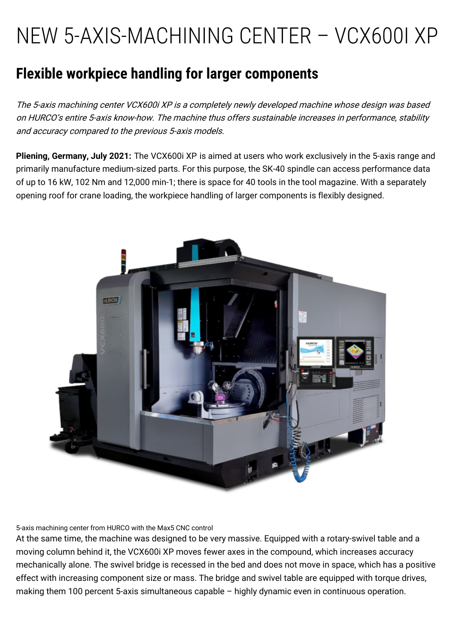## NEW 5-AXIS-MACHINING CENTER – VCX600I XP

## **Flexible workpiece handling for larger components**

The 5-axis machining center VCX600i XP is <sup>a</sup> completely newly developed machine whose design was based on HURCO's entire 5-axis know-how. The machine thus offers sustainable increases in performance, stability and accuracy compared to the previous 5-axis models.

**Pliening, Germany, July 2021:** The [VCX600i](https://www.hurco.eu/products/5-axis-machining-centers/integrated-trunnion-table/vcx-600-i-xp/) XP is aimed at users who work exclusively in the 5-axis range and primarily manufacture medium-sized parts. For this purpose, the SK-40 spindle can access performance data of up to 16 kW, 102 Nm and 12,000 min-1; there is space for 40 tools in the tool magazine. With a separately opening roof for crane loading, the workpiece handling of larger components is flexibly designed.



5-axis machining center from HURCO with the Max5 CNC control

At the same time, the machine was designed to be very massive. Equipped with a rotary-swivel table and a moving column behind it, the VCX600i XP moves fewer axes in the compound, which increases accuracy mechanically alone. The swivel bridge is recessed in the bed and does not move in space, which has a positive effect with increasing component size or mass. The bridge and swivel table are equipped with torque drives, making them 100 percent 5-axis simultaneous capable – highly dynamic even in continuous operation.